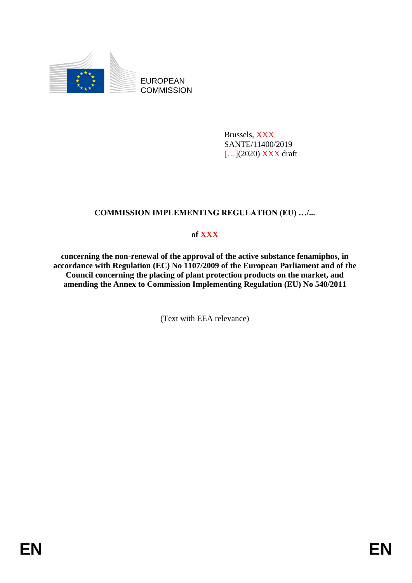

EUROPEAN **COMMISSION** 

> Brussels, XXX SANTE/11400/2019 [...](2020) XXX draft

# **COMMISSION IMPLEMENTING REGULATION (EU) …/...**

# **of XXX**

**concerning the non-renewal of the approval of the active substance fenamiphos, in accordance with Regulation (EC) No 1107/2009 of the European Parliament and of the Council concerning the placing of plant protection products on the market, and amending the Annex to Commission Implementing Regulation (EU) No 540/2011**

(Text with EEA relevance)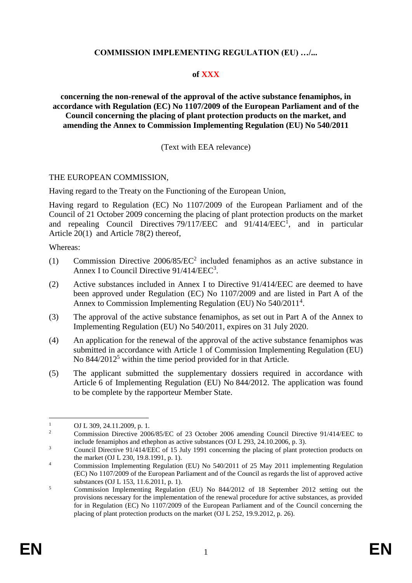## **COMMISSION IMPLEMENTING REGULATION (EU) …/...**

## **of XXX**

**concerning the non-renewal of the approval of the active substance fenamiphos, in accordance with Regulation (EC) No 1107/2009 of the European Parliament and of the Council concerning the placing of plant protection products on the market, and amending the Annex to Commission Implementing Regulation (EU) No 540/2011**

## (Text with EEA relevance)

#### THE EUROPEAN COMMISSION,

Having regard to the Treaty on the Functioning of the European Union,

Having regard to Regulation (EC) No 1107/2009 of the European Parliament and of the Council of 21 October 2009 concerning the placing of plant protection products on the market and repealing Council Directives  $79/117/EEC$  and  $91/414/EEC<sup>1</sup>$ , and in particular Article 20(1) and Article 78(2) thereof,

Whereas:

- (1) Commission Directive 2006/85/EC<sup>2</sup> included fenamiphos as an active substance in Annex I to Council Directive 91/414/EEC<sup>3</sup>.
- (2) Active substances included in Annex I to Directive 91/414/EEC are deemed to have been approved under Regulation (EC) No 1107/2009 and are listed in Part A of the Annex to Commission Implementing Regulation (EU) No 540/2011<sup>4</sup>.
- (3) The approval of the active substance fenamiphos, as set out in Part A of the Annex to Implementing Regulation (EU) No 540/2011, expires on 31 July 2020.
- (4) An application for the renewal of the approval of the active substance fenamiphos was submitted in accordance with Article 1 of Commission Implementing Regulation (EU) No 844/2012<sup>5</sup> within the time period provided for in that Article.
- (5) The applicant submitted the supplementary dossiers required in accordance with Article 6 of Implementing Regulation (EU) No 844/2012. The application was found to be complete by the rapporteur Member State.

 $\mathbf{1}$  $\frac{1}{2}$  OJ L 309, 24.11.2009, p. 1.

<sup>2</sup> Commission Directive 2006/85/EC of 23 October 2006 amending Council Directive 91/414/EEC to include fenamiphos and ethephon as active substances (OJ L 293, 24.10.2006, p. 3).

<sup>&</sup>lt;sup>3</sup> Council Directive 91/414/EEC of 15 July 1991 concerning the placing of plant protection products on the market (OJ L 230, 19.8.1991, p. 1).

<sup>&</sup>lt;sup>4</sup> Commission Implementing Regulation (EU) No 540/2011 of 25 May 2011 implementing Regulation (EC) No 1107/2009 of the European Parliament and of the Council as regards the list of approved active substances (OJ L 153, 11.6.2011, p. 1).

<sup>5</sup> Commission Implementing Regulation (EU) No 844/2012 of 18 September 2012 setting out the provisions necessary for the implementation of the renewal procedure for active substances, as provided for in Regulation (EC) No 1107/2009 of the European Parliament and of the Council concerning the placing of plant protection products on the market (OJ L 252, 19.9.2012, p. 26).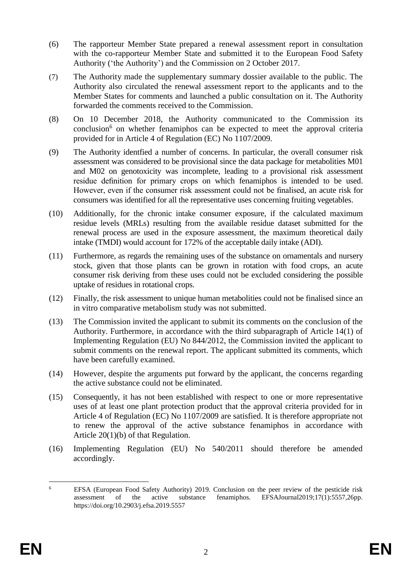- (6) The rapporteur Member State prepared a renewal assessment report in consultation with the co-rapporteur Member State and submitted it to the European Food Safety Authority ('the Authority') and the Commission on 2 October 2017.
- (7) The Authority made the supplementary summary dossier available to the public. The Authority also circulated the renewal assessment report to the applicants and to the Member States for comments and launched a public consultation on it. The Authority forwarded the comments received to the Commission.
- (8) On 10 December 2018, the Authority communicated to the Commission its conclusion<sup>6</sup> on whether fenamiphos can be expected to meet the approval criteria provided for in Article 4 of Regulation (EC) No 1107/2009.
- (9) The Authority identfied a number of concerns. In particular, the overall consumer risk assessment was considered to be provisional since the data package for metabolities M01 and M02 on genotoxicity was incomplete, leading to a provisional risk assessment residue definition for primary crops on which fenamiphos is intended to be used. However, even if the consumer risk assessment could not be finalised, an acute risk for consumers was identified for all the representative uses concerning fruiting vegetables.
- (10) Additionally, for the chronic intake consumer exposure, if the calculated maximum residue levels (MRLs) resulting from the available residue dataset submitted for the renewal process are used in the exposure assessment, the maximum theoretical daily intake (TMDI) would account for 172% of the acceptable daily intake (ADI).
- (11) Furthermore, as regards the remaining uses of the substance on ornamentals and nursery stock, given that those plants can be grown in rotation with food crops, an acute consumer risk deriving from these uses could not be excluded considering the possible uptake of residues in rotational crops.
- (12) Finally, the risk assessment to unique human metabolities could not be finalised since an in vitro comparative metabolism study was not submitted.
- (13) The Commission invited the applicant to submit its comments on the conclusion of the Authority. Furthermore, in accordance with the third subparagraph of Article 14(1) of Implementing Regulation (EU) No 844/2012, the Commission invited the applicant to submit comments on the renewal report. The applicant submitted its comments, which have been carefully examined.
- (14) However, despite the arguments put forward by the applicant, the concerns regarding the active substance could not be eliminated.
- (15) Consequently, it has not been established with respect to one or more representative uses of at least one plant protection product that the approval criteria provided for in Article 4 of Regulation (EC) No 1107/2009 are satisfied. It is therefore appropriate not to renew the approval of the active substance fenamiphos in accordance with Article 20(1)(b) of that Regulation.
- (16) Implementing Regulation (EU) No 540/2011 should therefore be amended accordingly.

 $\ddot{6}$ <sup>6</sup> EFSA (European Food Safety Authority) 2019. Conclusion on the peer review of the pesticide risk assessment of the active substance fenamiphos. EFSAJournal2019;17(1):5557,26pp. https://doi.org/10.2903/j.efsa.2019.5557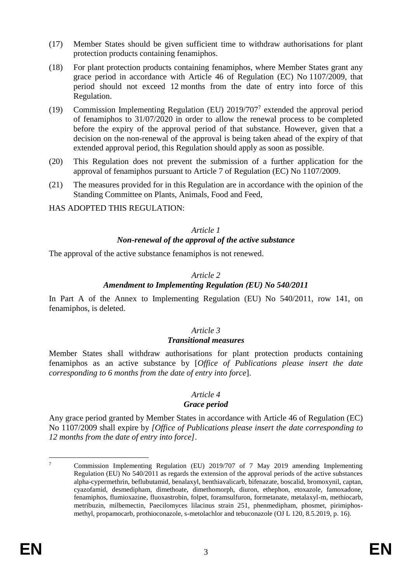- (17) Member States should be given sufficient time to withdraw authorisations for plant protection products containing fenamiphos.
- (18) For plant protection products containing fenamiphos, where Member States grant any grace period in accordance with Article 46 of Regulation (EC) No 1107/2009, that period should not exceed 12 months from the date of entry into force of this Regulation.
- (19) Commission Implementing Regulation (EU) 2019/707<sup>7</sup> extended the approval period of fenamiphos to 31/07/2020 in order to allow the renewal process to be completed before the expiry of the approval period of that substance. However, given that a decision on the non-renewal of the approval is being taken ahead of the expiry of that extended approval period, this Regulation should apply as soon as possible.
- (20) This Regulation does not prevent the submission of a further application for the approval of fenamiphos pursuant to Article 7 of Regulation (EC) No 1107/2009.
- (21) The measures provided for in this Regulation are in accordance with the opinion of the Standing Committee on Plants, Animals, Food and Feed,

HAS ADOPTED THIS REGULATION:

#### *Article 1 Non-renewal of the approval of the active substance*

The approval of the active substance fenamiphos is not renewed.

## *Article 2*

## *Amendment to Implementing Regulation (EU) No 540/2011*

In Part A of the Annex to Implementing Regulation (EU) No 540/2011, row 141, on fenamiphos, is deleted.

## *Article 3*

## *Transitional measures*

Member States shall withdraw authorisations for plant protection products containing fenamiphos as an active substance by [*Office of Publications please insert the date corresponding to 6 months from the date of entry into force*].

#### *Article 4 Grace period*

Any grace period granted by Member States in accordance with Article 46 of Regulation (EC) No 1107/2009 shall expire by *[Office of Publications please insert the date corresponding to 12 months from the date of entry into force]*.

<u>.</u>

<sup>7</sup> Commission Implementing Regulation (EU) 2019/707 of 7 May 2019 amending Implementing Regulation (EU) No 540/2011 as regards the extension of the approval periods of the active substances alpha-cypermethrin, beflubutamid, benalaxyl, benthiavalicarb, bifenazate, boscalid, bromoxynil, captan, cyazofamid, desmedipham, dimethoate, dimethomorph, diuron, ethephon, etoxazole, famoxadone, fenamiphos, flumioxazine, fluoxastrobin, folpet, foramsulfuron, formetanate, metalaxyl-m, methiocarb, metribuzin, milbemectin, Paecilomyces lilacinus strain 251, phenmedipham, phosmet, pirimiphosmethyl, propamocarb, prothioconazole, s-metolachlor and tebuconazole (OJ L 120, 8.5.2019, p. 16).